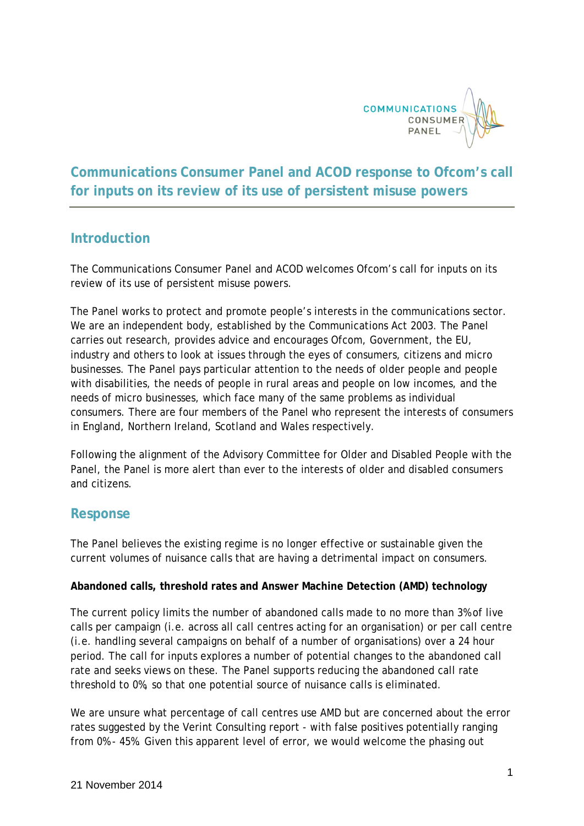

# **Communications Consumer Panel and ACOD response to Ofcom's call for inputs on its review of its use of persistent misuse powers**

# **Introduction**

The Communications Consumer Panel and ACOD welcomes Ofcom's call for inputs on its review of its use of persistent misuse powers.

The Panel works to protect and promote people's interests in the communications sector. We are an independent body, established by the Communications Act 2003. The Panel carries out research, provides advice and encourages Ofcom, Government, the EU, industry and others to look at issues through the eyes of consumers, citizens and micro businesses. The Panel pays particular attention to the needs of older people and people with disabilities, the needs of people in rural areas and people on low incomes, and the needs of micro businesses, which face many of the same problems as individual consumers. There are four members of the Panel who represent the interests of consumers in England, Northern Ireland, Scotland and Wales respectively.

Following the alignment of the Advisory Committee for Older and Disabled People with the Panel, the Panel is more alert than ever to the interests of older and disabled consumers and citizens.

# **Response**

The Panel believes the existing regime is no longer effective or sustainable given the current volumes of nuisance calls that are having a detrimental impact on consumers.

### **Abandoned calls, threshold rates and Answer Machine Detection (AMD) technology**

The current policy limits the number of abandoned calls made to no more than 3% of live calls per campaign (i.e. across all call centres acting for an organisation) or per call centre (i.e. handling several campaigns on behalf of a number of organisations) over a 24 hour period. The call for inputs explores a number of potential changes to the abandoned call rate and seeks views on these. The Panel supports reducing the abandoned call rate threshold to 0%, so that one potential source of nuisance calls is eliminated.

We are unsure what percentage of call centres use AMD but are concerned about the error rates suggested by the Verint Consulting report - with false positives potentially ranging from 0% - 45%. Given this apparent level of error, we would welcome the phasing out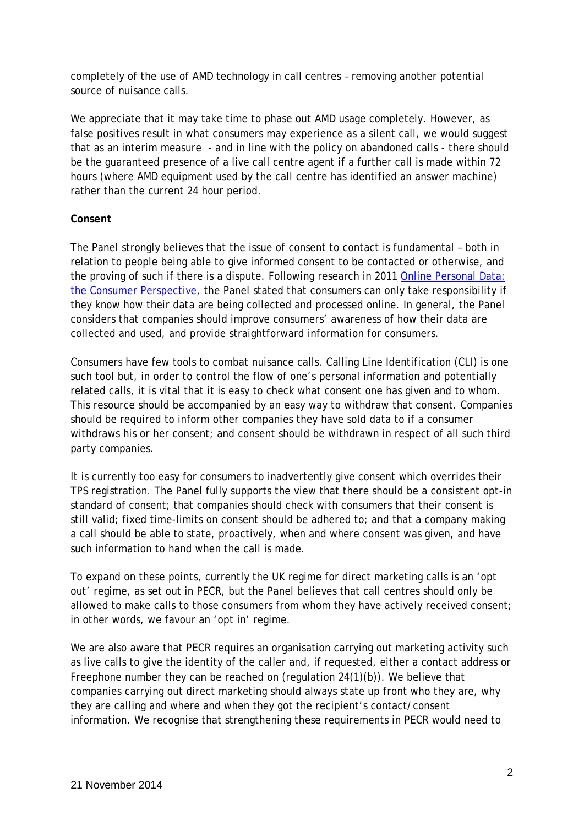completely of the use of AMD technology in call centres – removing another potential source of nuisance calls.

We appreciate that it may take time to phase out AMD usage completely. However, as false positives result in what consumers may experience as a silent call, we would suggest that as an interim measure - and in line with the policy on abandoned calls - there should be the guaranteed presence of a live call centre agent if a further call is made within 72 hours (where AMD equipment used by the call centre has identified an answer machine) rather than the current 24 hour period.

#### **Consent**

The Panel strongly believes that the issue of consent to contact is fundamental – both in relation to people being able to give informed consent to be contacted or otherwise, and the proving of such if there is a dispute. Following research in 2011 [Online Personal Data:](http://www.communicationsconsumerpanel.org.uk/online-personal-data/online-personal-data-1)  [the Consumer Perspective,](http://www.communicationsconsumerpanel.org.uk/online-personal-data/online-personal-data-1) the Panel stated that consumers can only take responsibility if they know how their data are being collected and processed online. In general, the Panel considers that companies should improve consumers' awareness of how their data are collected and used, and provide straightforward information for consumers.

Consumers have few tools to combat nuisance calls. Calling Line Identification (CLI) is one such tool but, in order to control the flow of one's personal information and potentially related calls, it is vital that it is easy to check what consent one has given and to whom. This resource should be accompanied by an easy way to withdraw that consent. Companies should be required to inform other companies they have sold data to if a consumer withdraws his or her consent; and consent should be withdrawn in respect of all such third party companies.

It is currently too easy for consumers to inadvertently give consent which overrides their TPS registration. The Panel fully supports the view that there should be a consistent opt-in standard of consent; that companies should check with consumers that their consent is still valid; fixed time-limits on consent should be adhered to; and that a company making a call should be able to state, proactively, when and where consent was given, and have such information to hand when the call is made.

To expand on these points, currently the UK regime for direct marketing calls is an 'opt out' regime, as set out in PECR, but the Panel believes that call centres should only be allowed to make calls to those consumers from whom they have actively received consent; in other words, we favour an 'opt in' regime.

We are also aware that PECR requires an organisation carrying out marketing activity such as live calls to give the identity of the caller and, if requested, either a contact address or Freephone number they can be reached on (regulation 24(1)(b)). We believe that companies carrying out direct marketing should always state up front who they are, why they are calling and where and when they got the recipient's contact/consent information. We recognise that strengthening these requirements in PECR would need to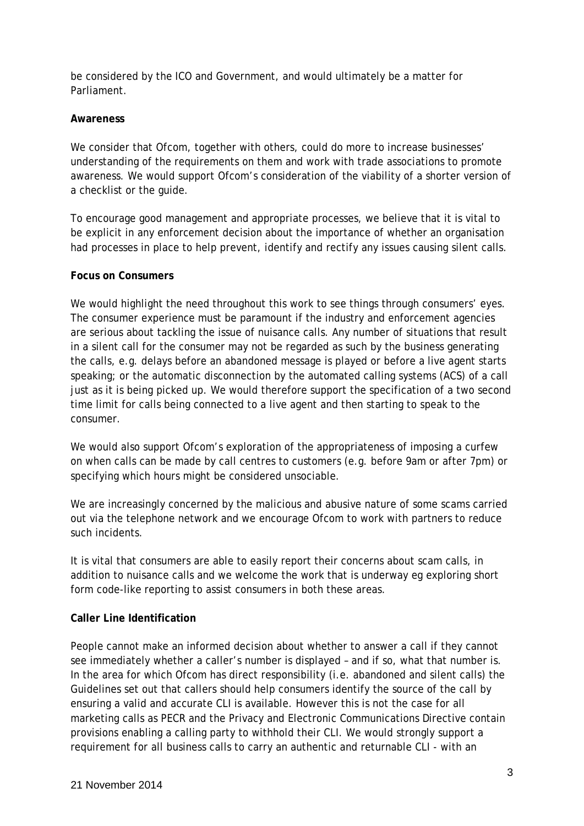be considered by the ICO and Government, and would ultimately be a matter for Parliament.

#### **Awareness**

We consider that Ofcom, together with others, could do more to increase businesses' understanding of the requirements on them and work with trade associations to promote awareness. We would support Ofcom's consideration of the viability of a shorter version of a checklist or the guide.

To encourage good management and appropriate processes, we believe that it is vital to be explicit in any enforcement decision about the importance of whether an organisation had processes in place to help prevent, identify and rectify any issues causing silent calls.

#### **Focus on Consumers**

We would highlight the need throughout this work to see things through consumers' eyes. The consumer experience must be paramount if the industry and enforcement agencies are serious about tackling the issue of nuisance calls. Any number of situations that result in a silent call for the consumer may not be regarded as such by the business generating the calls, e.g. delays before an abandoned message is played or before a live agent starts speaking; or the automatic disconnection by the automated calling systems (ACS) of a call just as it is being picked up. We would therefore support the specification of a two second time limit for calls being connected to a live agent and then starting to speak to the consumer.

We would also support Ofcom's exploration of the appropriateness of imposing a curfew on when calls can be made by call centres to customers (e.g. before 9am or after 7pm) or specifying which hours might be considered unsociable.

We are increasingly concerned by the malicious and abusive nature of some scams carried out via the telephone network and we encourage Ofcom to work with partners to reduce such incidents.

It is vital that consumers are able to easily report their concerns about scam calls, in addition to nuisance calls and we welcome the work that is underway eg exploring short form code-like reporting to assist consumers in both these areas.

### **Caller Line Identification**

People cannot make an informed decision about whether to answer a call if they cannot see immediately whether a caller's number is displayed – and if so, what that number is. In the area for which Ofcom has direct responsibility (i.e. abandoned and silent calls) the Guidelines set out that callers should help consumers identify the source of the call by ensuring a valid and accurate CLI is available. However this is not the case for all marketing calls as PECR and the Privacy and Electronic Communications Directive contain provisions enabling a calling party to withhold their CLI. We would strongly support a requirement for all business calls to carry an authentic and returnable CLI - with an